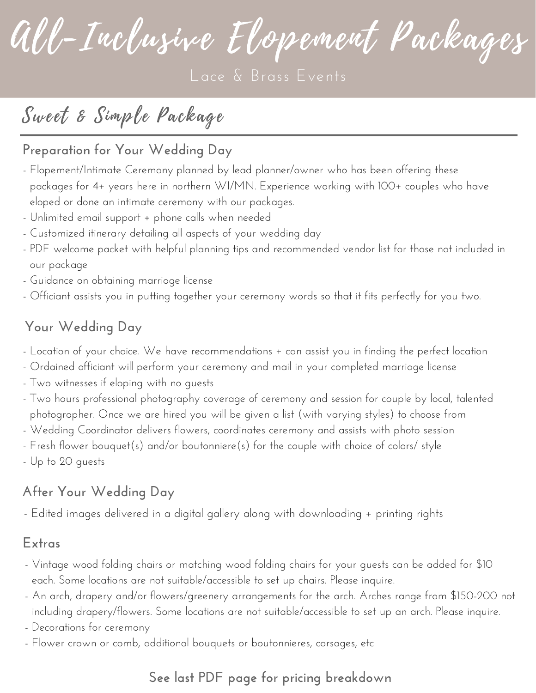All-Inclusive Elopement Packages

## Sweet & Simple Package

### **Preparation for Your Wedding Day**

- Elopement/Intimate Ceremony planned by lead planner/owner who has been offering these packages for 4+ years here in northern WI/MN. Experience working with 100+ couples who have eloped or done an intimate ceremony with our packages.
- Unlimited email support + phone calls when needed
- Customized itinerary detailing all aspects of your wedding day
- PDF welcome packet with helpful planning tips and recommended vendor list for those not included in our package
- Guidance on obtaining marriage license
- Officiant assists you in putting together your ceremony words so that it fits perfectly for you two.

### **Your Wedding Day**

- Location of your choice. We have recommendations + can assist you in finding the perfect location
- Ordained officiant will perform your ceremony and mail in your completed marriage license
- Two witnesses if eloping with no guests
- Two hours professional photography coverage of ceremony and session for couple by local, talented photographer. Once we are hired you will be given a list (with varying styles) to choose from
- Wedding Coordinator delivers flowers, coordinates ceremony and assists with photo session
- Fresh flower bouquet(s) and/or boutonniere(s) for the couple with choice of colors/ style
- Up to 20 guests

### **After Your Wedding Day**

- Edited images delivered in a digital gallery along with downloading + printing rights

#### **Extras**

- Vintage wood folding chairs or matching wood folding chairs for your guests can be added for \$10 each. Some locations are not suitable/accessible to set up chairs. Please inquire.
- An arch, drapery and/or flowers/greenery arrangements for the arch. Arches range from \$150-200 not including drapery/flowers. Some locations are not suitable/accessible to set up an arch. Please inquire.
- Decorations for ceremony
- Flower crown or comb, additional bouquets or boutonnieres, corsages, etc

## **See last PDF page for pricing breakdown**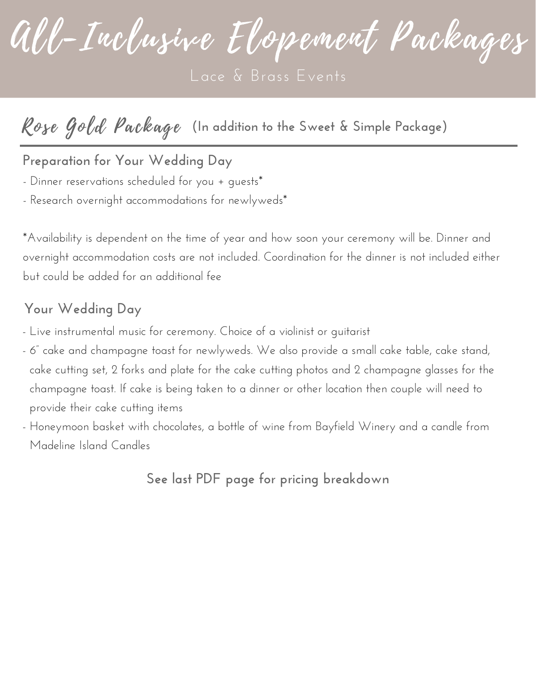All-Inclusive Elopement Packages

## Rose Gold Package **(In addition to the Sweet & Simple Package)**

**Preparation for Your Wedding Day**

- Dinner reservations scheduled for you + quests\*

- Research overnight accommodations for newlyweds\*

\*Availability is dependent on the time of year and how soon your ceremony will be. Dinner and overnight accommodation costs are not included. Coordination for the dinner is not included either but could be added for an additional fee

#### **Your Wedding Day**

- Live instrumental music for ceremony. Choice of a violinist or guitarist
- 6" cake and champagne toast for newlyweds. We also provide a small cake table, cake stand, cake cutting set, 2 forks and plate for the cake cutting photos and 2 champagne glasses for the champagne toast. If cake is being taken to a dinner or other location then couple will need to provide their cake cutting items
- Honeymoon basket with chocolates, a bottle of wine from Bayfield Winery and a candle from Madeline Island Candles

**See last PDF page for pricing breakdown**